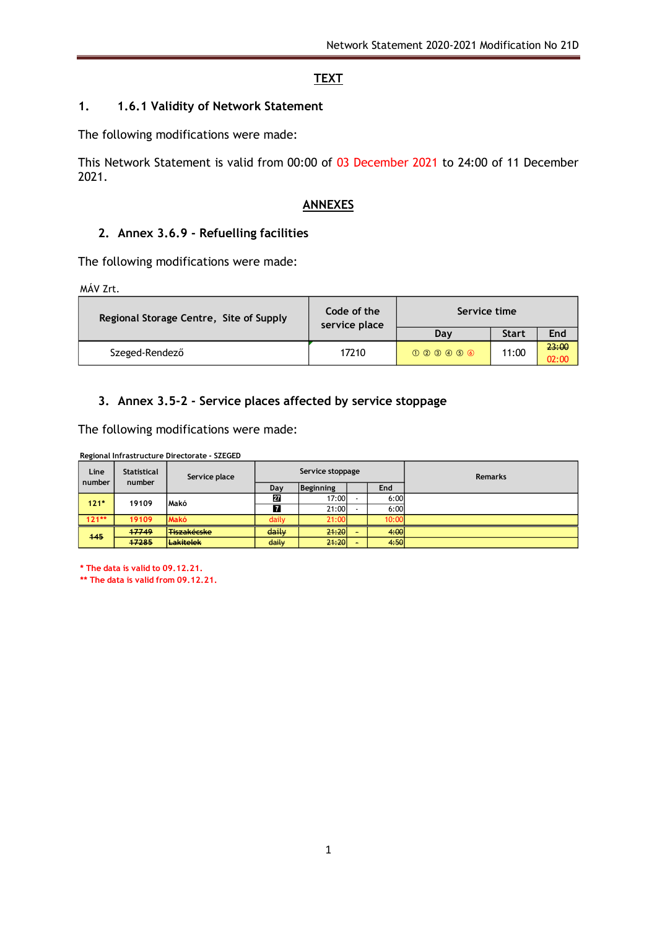## **TEXT**

### **1. 1.6.1 Validity of Network Statement**

The following modifications were made:

This Network Statement is valid from 00:00 of 03 December 2021 to 24:00 of 11 December 2021.

#### **ANNEXES**

#### **2. Annex 3.6.9 - Refuelling facilities**

The following modifications were made:

MÁV Zrt.

| Regional Storage Centre, Site of Supply | Code of the<br>service place | Service time                        |              |                |  |
|-----------------------------------------|------------------------------|-------------------------------------|--------------|----------------|--|
|                                         |                              | Dav                                 | <b>Start</b> | End            |  |
| Szeged-Rendező                          | 17210                        | $(1)$ $(2)$ $(3)$ $(4)$ $(5)$ $(6)$ | 11:00        | 23:00<br>02:00 |  |

## **3. Annex 3.5-2 - Service places affected by service stoppage**

The following modifications were made:

|  |  | Regional Infrastructure Directorate - SZEGED |  |  |
|--|--|----------------------------------------------|--|--|
|--|--|----------------------------------------------|--|--|

| Line<br>number  | Statistical<br>number | Service place      |       | Service stoppage |       | <b>Remarks</b> |
|-----------------|-----------------------|--------------------|-------|------------------|-------|----------------|
|                 |                       |                    | Day   | Beginning        | End   |                |
| $121*$<br>19109 |                       | <b>Makó</b>        | 27    | 17:00            | 6:00  |                |
|                 |                       |                    | 7     | 21:00            | 6:00  |                |
| $121**$         | 19109                 | <b>Makó</b>        | daily | 21:00            | 10:00 |                |
| 445             | 47749                 | <b>Tiszakécske</b> | daily | 21:20            | 4:00  |                |
|                 | 47285                 | <b>Lakitelek</b>   | daily | 21:20            | 4:50  |                |

**\* The data is valid to 09.12.21.**

**\*\* The data is valid from 09.12.21.**